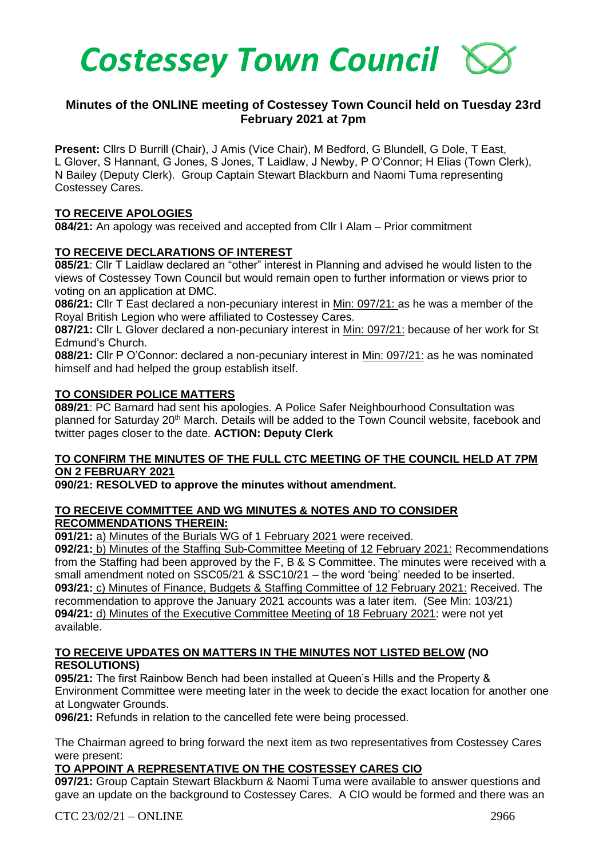

# **Minutes of the ONLINE meeting of Costessey Town Council held on Tuesday 23rd February 2021 at 7pm**

**Present:** Cllrs D Burrill (Chair), J Amis (Vice Chair), M Bedford, G Blundell, G Dole, T East, L Glover, S Hannant, G Jones, S Jones, T Laidlaw, J Newby, P O'Connor; H Elias (Town Clerk), N Bailey (Deputy Clerk). Group Captain Stewart Blackburn and Naomi Tuma representing Costessey Cares.

### **TO RECEIVE APOLOGIES**

**084/21:** An apology was received and accepted from Cllr I Alam – Prior commitment

### **TO RECEIVE DECLARATIONS OF INTEREST**

**085/21**: Cllr T Laidlaw declared an "other" interest in Planning and advised he would listen to the views of Costessey Town Council but would remain open to further information or views prior to voting on an application at DMC.

**086/21:** Cllr T East declared a non-pecuniary interest in Min: 097/21: as he was a member of the Royal British Legion who were affiliated to Costessey Cares.

**087/21:** Cllr L Glover declared a non-pecuniary interest in Min: 097/21: because of her work for St Edmund's Church.

**088/21:** Cllr P O'Connor: declared a non-pecuniary interest in Min: 097/21: as he was nominated himself and had helped the group establish itself.

### **TO CONSIDER POLICE MATTERS**

**089/21**: PC Barnard had sent his apologies. A Police Safer Neighbourhood Consultation was planned for Saturday 20<sup>th</sup> March. Details will be added to the Town Council website, facebook and twitter pages closer to the date. **ACTION: Deputy Clerk**

### **TO CONFIRM THE MINUTES OF THE FULL CTC MEETING OF THE COUNCIL HELD AT 7PM ON 2 FEBRUARY 2021**

### **090/21: RESOLVED to approve the minutes without amendment.**

#### **TO RECEIVE COMMITTEE AND WG MINUTES & NOTES AND TO CONSIDER RECOMMENDATIONS THEREIN:**

**091/21:** a) Minutes of the Burials WG of 1 February 2021 were received.

**092/21:** b) Minutes of the Staffing Sub-Committee Meeting of 12 February 2021: Recommendations from the Staffing had been approved by the F, B & S Committee. The minutes were received with a small amendment noted on SSC05/21 & SSC10/21 – the word 'being' needed to be inserted. **093/21:** c) Minutes of Finance, Budgets & Staffing Committee of 12 February 2021: Received. The recommendation to approve the January 2021 accounts was a later item. (See Min: 103/21) **094/21:** d) Minutes of the Executive Committee Meeting of 18 February 2021: were not yet available.

### **TO RECEIVE UPDATES ON MATTERS IN THE MINUTES NOT LISTED BELOW (NO RESOLUTIONS)**

**095/21:** The first Rainbow Bench had been installed at Queen's Hills and the Property & Environment Committee were meeting later in the week to decide the exact location for another one at Longwater Grounds.

**096/21:** Refunds in relation to the cancelled fete were being processed.

The Chairman agreed to bring forward the next item as two representatives from Costessey Cares were present:

### **TO APPOINT A REPRESENTATIVE ON THE COSTESSEY CARES CIO**

**097/21:** Group Captain Stewart Blackburn & Naomi Tuma were available to answer questions and gave an update on the background to Costessey Cares. A CIO would be formed and there was an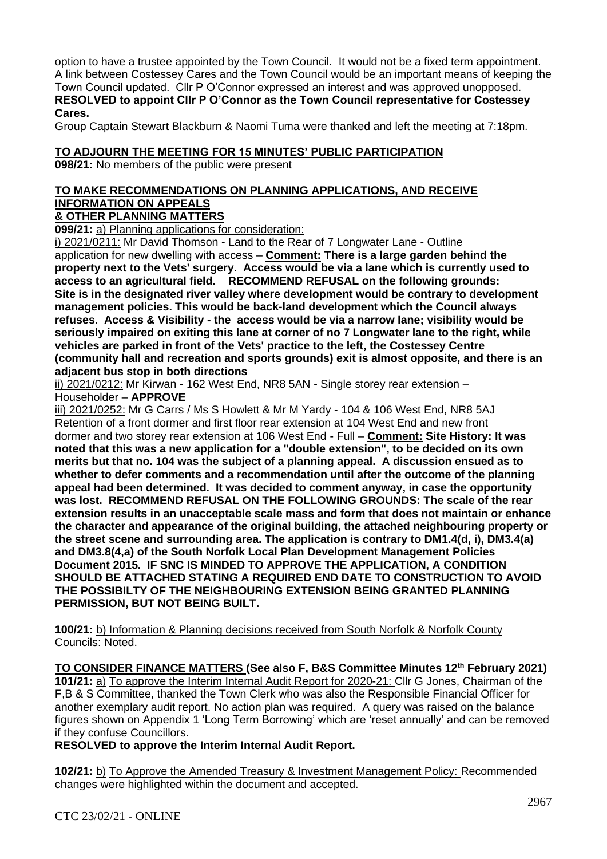option to have a trustee appointed by the Town Council. It would not be a fixed term appointment. A link between Costessey Cares and the Town Council would be an important means of keeping the Town Council updated. Cllr P O'Connor expressed an interest and was approved unopposed. **RESOLVED to appoint Cllr P O'Connor as the Town Council representative for Costessey Cares.** 

Group Captain Stewart Blackburn & Naomi Tuma were thanked and left the meeting at 7:18pm.

#### **TO ADJOURN THE MEETING FOR 15 MINUTES' PUBLIC PARTICIPATION**

**098/21:** No members of the public were present

# **TO MAKE RECOMMENDATIONS ON PLANNING APPLICATIONS, AND RECEIVE INFORMATION ON APPEALS**

# **& OTHER PLANNING MATTERS**

**099/21:** a) Planning applications for consideration:

i) 2021/0211: Mr David Thomson - Land to the Rear of 7 Longwater Lane - Outline application for new dwelling with access – **Comment: There is a large garden behind the property next to the Vets' surgery. Access would be via a lane which is currently used to access to an agricultural field. RECOMMEND REFUSAL on the following grounds: Site is in the designated river valley where development would be contrary to development management policies. This would be back-land development which the Council always refuses. Access & Visibility - the access would be via a narrow lane; visibility would be seriously impaired on exiting this lane at corner of no 7 Longwater lane to the right, while vehicles are parked in front of the Vets' practice to the left, the Costessey Centre (community hall and recreation and sports grounds) exit is almost opposite, and there is an adjacent bus stop in both directions**

ii) 2021/0212: Mr Kirwan - 162 West End, NR8 5AN - Single storey rear extension – Householder – **APPROVE**

iii) 2021/0252: Mr G Carrs / Ms S Howlett & Mr M Yardy - 104 & 106 West End, NR8 5AJ Retention of a front dormer and first floor rear extension at 104 West End and new front dormer and two storey rear extension at 106 West End - Full – **Comment: Site History: It was noted that this was a new application for a "double extension", to be decided on its own merits but that no. 104 was the subject of a planning appeal. A discussion ensued as to whether to defer comments and a recommendation until after the outcome of the planning appeal had been determined. It was decided to comment anyway, in case the opportunity was lost. RECOMMEND REFUSAL ON THE FOLLOWING GROUNDS: The scale of the rear extension results in an unacceptable scale mass and form that does not maintain or enhance the character and appearance of the original building, the attached neighbouring property or the street scene and surrounding area. The application is contrary to DM1.4(d, i), DM3.4(a) and DM3.8(4,a) of the South Norfolk Local Plan Development Management Policies Document 2015. IF SNC IS MINDED TO APPROVE THE APPLICATION, A CONDITION SHOULD BE ATTACHED STATING A REQUIRED END DATE TO CONSTRUCTION TO AVOID THE POSSIBILTY OF THE NEIGHBOURING EXTENSION BEING GRANTED PLANNING PERMISSION, BUT NOT BEING BUILT.**

**100/21:** b) Information & Planning decisions received from South Norfolk & Norfolk County Councils: Noted.

**TO CONSIDER FINANCE MATTERS (See also F, B&S Committee Minutes 12th February 2021) 101/21:** a) To approve the Interim Internal Audit Report for 2020-21: Cllr G Jones, Chairman of the F,B & S Committee, thanked the Town Clerk who was also the Responsible Financial Officer for another exemplary audit report. No action plan was required. A query was raised on the balance figures shown on Appendix 1 'Long Term Borrowing' which are 'reset annually' and can be removed if they confuse Councillors.

**RESOLVED to approve the Interim Internal Audit Report.**

**102/21:** b) To Approve the Amended Treasury & Investment Management Policy: Recommended changes were highlighted within the document and accepted.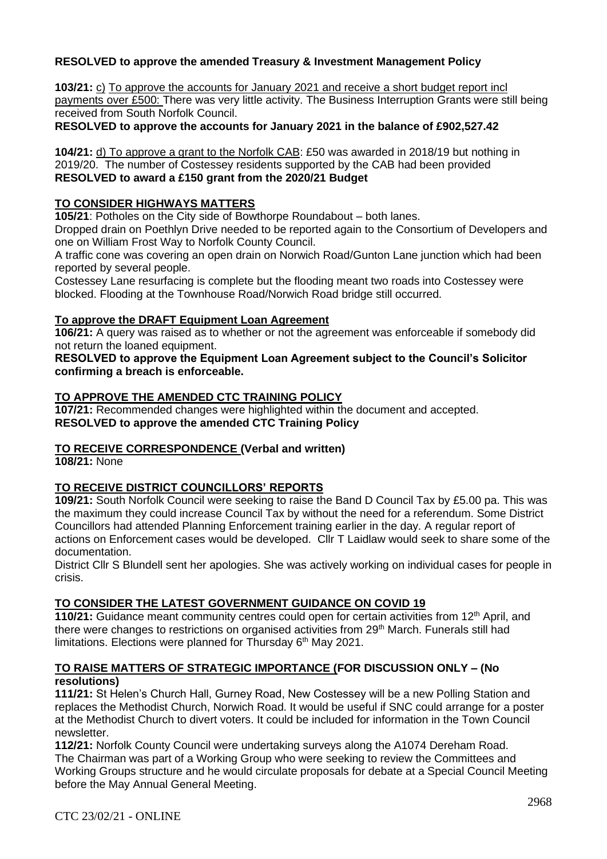# **RESOLVED to approve the amended Treasury & Investment Management Policy**

**103/21:** c) To approve the accounts for January 2021 and receive a short budget report incl payments over £500: There was very little activity. The Business Interruption Grants were still being received from South Norfolk Council.

**RESOLVED to approve the accounts for January 2021 in the balance of £902,527.42**

**104/21:** d) To approve a grant to the Norfolk CAB: £50 was awarded in 2018/19 but nothing in 2019/20. The number of Costessey residents supported by the CAB had been provided **RESOLVED to award a £150 grant from the 2020/21 Budget** 

### **TO CONSIDER HIGHWAYS MATTERS**

**105/21**: Potholes on the City side of Bowthorpe Roundabout – both lanes.

Dropped drain on Poethlyn Drive needed to be reported again to the Consortium of Developers and one on William Frost Way to Norfolk County Council.

A traffic cone was covering an open drain on Norwich Road/Gunton Lane junction which had been reported by several people.

Costessey Lane resurfacing is complete but the flooding meant two roads into Costessey were blocked. Flooding at the Townhouse Road/Norwich Road bridge still occurred.

### **To approve the DRAFT Equipment Loan Agreement**

**106/21:** A query was raised as to whether or not the agreement was enforceable if somebody did not return the loaned equipment.

**RESOLVED to approve the Equipment Loan Agreement subject to the Council's Solicitor confirming a breach is enforceable.** 

### **TO APPROVE THE AMENDED CTC TRAINING POLICY**

**107/21:** Recommended changes were highlighted within the document and accepted. **RESOLVED to approve the amended CTC Training Policy** 

### **TO RECEIVE CORRESPONDENCE (Verbal and written)**

**108/21:** None

### **TO RECEIVE DISTRICT COUNCILLORS' REPORTS**

**109/21:** South Norfolk Council were seeking to raise the Band D Council Tax by £5.00 pa. This was the maximum they could increase Council Tax by without the need for a referendum. Some District Councillors had attended Planning Enforcement training earlier in the day. A regular report of actions on Enforcement cases would be developed. Cllr T Laidlaw would seek to share some of the documentation.

District Cllr S Blundell sent her apologies. She was actively working on individual cases for people in crisis.

### **TO CONSIDER THE LATEST GOVERNMENT GUIDANCE ON COVID 19**

**110/21:** Guidance meant community centres could open for certain activities from 12<sup>th</sup> April, and there were changes to restrictions on organised activities from 29<sup>th</sup> March. Funerals still had limitations. Elections were planned for Thursday  $6<sup>th</sup>$  May 2021.

### **TO RAISE MATTERS OF STRATEGIC IMPORTANCE (FOR DISCUSSION ONLY – (No resolutions)**

**111/21:** St Helen's Church Hall, Gurney Road, New Costessey will be a new Polling Station and replaces the Methodist Church, Norwich Road. It would be useful if SNC could arrange for a poster at the Methodist Church to divert voters. It could be included for information in the Town Council newsletter.

**112/21:** Norfolk County Council were undertaking surveys along the A1074 Dereham Road. The Chairman was part of a Working Group who were seeking to review the Committees and Working Groups structure and he would circulate proposals for debate at a Special Council Meeting before the May Annual General Meeting.